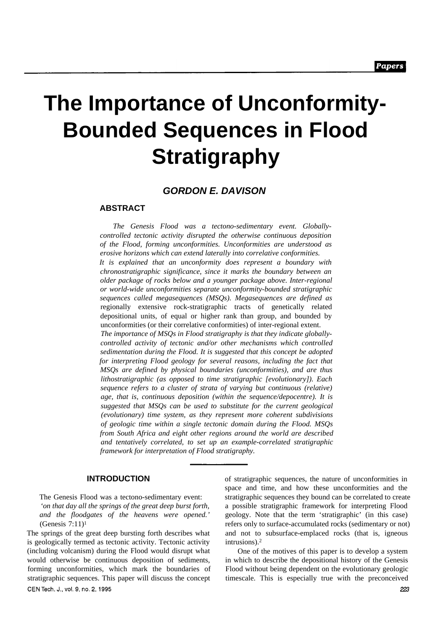# **The Importance of Unconformity-Bounded Sequences in Flood Stratigraphy**

# *GORDON E. DAVISON*

# **ABSTRACT**

*The Genesis Flood was a tectono-sedimentary event. Globallycontrolled tectonic activity disrupted the otherwise continuous deposition of the Flood, forming unconformities. Unconformities are understood as erosive horizons which can extend laterally into correlative conformities. It is explained that an unconformity does represent a boundary with*

*chronostratigraphic significance, since it marks the boundary between an older package of rocks below and a younger package above. Inter-regional or world-wide unconformities separate unconformity-bounded stratigraphic sequences called megasequences (MSQs). Megasequences are defined as* regionally extensive rock-stratigraphic tracts of genetically related depositional units, of equal or higher rank than group, and bounded by unconformities (or their correlative conformities) of inter-regional extent.

*The importance of MSQs in Flood stratigraphy is that they indicate globallycontrolled activity of tectonic and/or other mechanisms which controlled sedimentation during the Flood. It is suggested that this concept be adopted for interpreting Flood geology for several reasons, including the fact that MSQs are defined by physical boundaries (unconformities), and are thus lithostratigraphic (as opposed to time stratigraphic [evolutionary]). Each sequence refers to a cluster of strata of varying but continuous (relative) age, that is, continuous deposition (within the sequence/depocentre). It is suggested that MSQs can be used to substitute for the current geological (evolutionary) time system, as they represent more coherent subdivisions of geologic time within a single tectonic domain during the Flood. MSQs from South Africa and eight other regions around the world are described and tentatively correlated, to set up an example-correlated stratigraphic framework for interpretation of Flood stratigraphy.*

# **INTRODUCTION**

The Genesis Flood was a tectono-sedimentary event: *'on that day all the springs of the great deep burst forth, and the floodgates of the heavens were opened.'* (Genesis 7:11)<sup>1</sup>

The springs of the great deep bursting forth describes what is geologically termed as tectonic activity. Tectonic activity (including volcanism) during the Flood would disrupt what would otherwise be continuous deposition of sediments, forming unconformities, which mark the boundaries of stratigraphic sequences. This paper will discuss the concept CEN Tech. J., vol. 9, no. 2, 1995

of stratigraphic sequences, the nature of unconformities in space and time, and how these unconformities and the stratigraphic sequences they bound can be correlated to create a possible stratigraphic framework for interpreting Flood geology. Note that the term 'stratigraphic' (in this case) refers only to surface-accumulated rocks (sedimentary or not) and not to subsurface-emplaced rocks (that is, igneous intrusions).<sup>2</sup>

One of the motives of this paper is to develop a system in which to describe the depositional history of the Genesis Flood without being dependent on the evolutionary geologic timescale. This is especially true with the preconceived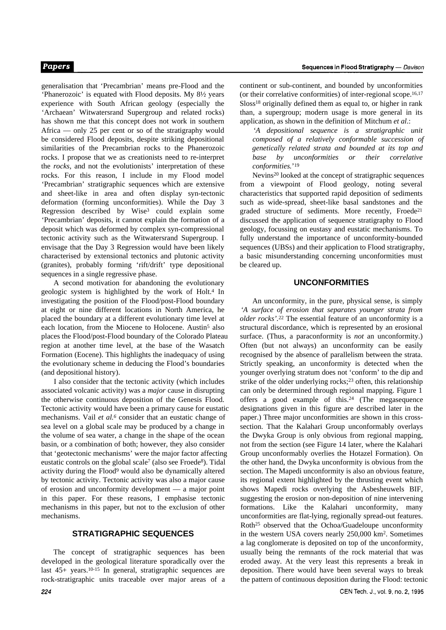generalisation that 'Precambrian' means pre-Flood and the 'Phanerozoic' is equated with Flood deposits. My 8½ years experience with South African geology (especially the 'Archaean' Witwatersrand Supergroup and related rocks) has shown me that this concept does not work in southern Africa — only 25 per cent or so of the stratigraphy would be considered Flood deposits, despite striking depositional similarities of the Precambrian rocks to the Phanerozoic rocks. I propose that we as creationists need to re-interpret the *rocks,* and not the evolutionists' interpretation of these rocks. For this reason, I include in my Flood model 'Precambrian' stratigraphic sequences which are extensive and sheet-like in area and often display syn-tectonic deformation (forming unconformities). While the Day 3 Regression described by Wise3 could explain some 'Precambrian' deposits, it cannot explain the formation of a deposit which was deformed by complex syn-compressional tectonic activity such as the Witwatersrand Supergroup. I envisage that the Day 3 Regression would have been likely characterised by extensional tectonics and plutonic activity (granites), probably forming 'rift/drift' type depositional sequences in a single regressive phase.

A second motivation for abandoning the evolutionary geologic system is highlighted by the work of Holt.4 In investigating the position of the Flood/post-Flood boundary at eight or nine different locations in North America, he placed the boundary at a different evolutionary time level at each location, from the Miocene to Holocene. Austin<sup>5</sup> also places the Flood/post-Flood boundary of the Colorado Plateau region at another time level, at the base of the Wasatch Formation (Eocene). This highlights the inadequacy of using the evolutionary scheme in deducing the Flood's boundaries (and depositional history).

I also consider that the tectonic activity (which includes associated volcanic activity) was a *major* cause in disrupting the otherwise continuous deposition of the Genesis Flood. Tectonic activity would have been a primary cause for eustatic mechanisms. Vail *et al.6* consider that an eustatic change of sea level on a global scale may be produced by a change in the volume of sea water, a change in the shape of the ocean basin, or a combination of both; however, they also consider that 'geotectonic mechanisms' were the major factor affecting eustatic controls on the global scale7 (also see Froede8). Tidal activity during the Flood9 would also be dynamically altered by tectonic activity. Tectonic activity was also a major cause of erosion and unconformity development — a major point in this paper. For these reasons, I emphasise tectonic mechanisms in this paper, but not to the exclusion of other mechanisms.

# **STRATIGRAPHIC SEQUENCES**

The concept of stratigraphic sequences has been developed in the geological literature sporadically over the last 45+ years.10-15 In general, stratigraphic sequences are rock-stratigraphic units traceable over major areas of a continent or sub-continent, and bounded by unconformities (or their correlative conformities) of inter-regional scope.16,17 Sloss<sup>18</sup> originally defined them as equal to, or higher in rank than, a supergroup; modern usage is more general in its application, as shown in the definition of Mitchum *et al*.:

*'A depositional sequence is a stratigraphic unit composed of a relatively conformable succession of genetically related strata and bounded at its top and base by unconformities or their correlative conformities.*' 19

Nevins20 looked at the concept of stratigraphic sequences from a viewpoint of Flood geology, noting several characteristics that supported rapid deposition of sediments such as wide-spread, sheet-like basal sandstones and the graded structure of sediments. More recently, Froede<sup>21</sup> discussed the application of sequence stratigraphy to Flood geology, focussing on eustasy and eustatic mechanisms. To fully understand the importance of unconformity-bounded sequences (UBSs) and their application to Flood stratigraphy, a basic misunderstanding concerning unconformities must be cleared up.

# **UNCONFORMITIES**

An unconformity, in the pure, physical sense, is simply *'A surface of erosion that separates younger strata from older rocks'.*22 The essential feature of an unconformity is a structural discordance, which is represented by an erosional surface. (Thus, a paraconformity is *not* an unconformity.) Often (but not always) an unconformity can be easily recognised by the absence of parallelism between the strata. Strictly speaking, an unconformity is detected when the younger overlying stratum does not 'conform' to the dip and strike of the older underlying rocks;23 often, this relationship can only be determined through regional mapping. Figure 1 offers a good example of this.24 (The megasequence designations given in this figure are described later in the paper.) Three major unconformities are shown in this crosssection. That the Kalahari Group unconformably overlays the Dwyka Group is only obvious from regional mapping, not from the section (see Figure 14 later, where the Kalahari Group unconformably overlies the Hotazel Formation). On the other hand, the Dwyka unconformity is obvious from the section. The Mapedi unconformity is also an obvious feature, its regional extent highlighted by the thrusting event which shows Mapedi rocks overlying the Asbesheuwels BIF, suggesting the erosion or non-deposition of nine intervening formations. Like the Kalahari unconformity, many unconformities are flat-lying, regionally spread-out features. Roth25 observed that the Ochoa/Guadeloupe unconformity in the western USA covers nearly 250,000 km2. Sometimes a lag conglomerate is deposited on top of the unconformity, usually being the remnants of the rock material that was eroded away. At the very least this represents a break in deposition. There would have been several ways to break the pattern of continuous deposition during the Flood: tectonic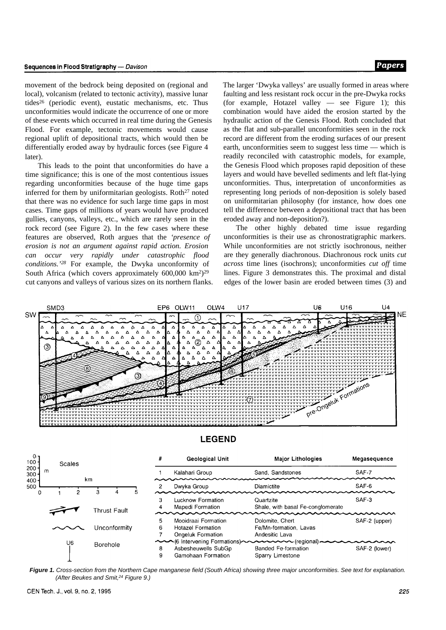movement of the bedrock being deposited on (regional and local), volcanism (related to tectonic activity), massive lunar tides26 (periodic event), eustatic mechanisms, etc. Thus unconformities would indicate the occurrence of one or more of these events which occurred in real time during the Genesis Flood. For example, tectonic movements would cause regional uplift of depositional tracts, which would then be differentially eroded away by hydraulic forces (see Figure 4 later).

This leads to the point that unconformities do have a time significance; this is one of the most contentious issues regarding unconformities because of the huge time gaps inferred for them by uniformitarian geologists. Roth<sup>27</sup> noted that there was no evidence for such large time gaps in most cases. Time gaps of millions of years would have produced gullies, canyons, valleys, etc., which are rarely seen in the rock record (see Figure 2). In the few cases where these features are observed, Roth argues that the *'presence of erosion is not an argument against rapid action. Erosion can occur very rapidly under catastrophic flood conditions.'28* For example, the Dwyka unconformity of South Africa (which covers approximately 600,000 km<sup>2</sup>)<sup>29</sup> cut canyons and valleys of various sizes on its northern flanks. The larger 'Dwyka valleys' are usually formed in areas where faulting and less resistant rock occur in the pre-Dwyka rocks (for example, Hotazel valley — see Figure 1); this combination would have aided the erosion started by the hydraulic action of the Genesis Flood. Roth concluded that as the flat and sub-parallel unconformities seen in the rock record are different from the eroding surfaces of our present earth, unconformities seem to suggest less time — which is readily reconciled with catastrophic models, for example, the Genesis Flood which proposes rapid deposition of these layers and would have bevelled sediments and left flat-lying unconformities. Thus, interpretation of unconformities as representing long periods of non-deposition is solely based on uniformitarian philosophy (for instance, how does one tell the difference between a depositional tract that has been eroded away and non-deposition?).

The other highly debated time issue regarding unconformities is their use as chronostratigraphic markers. While unconformities are not strictly isochronous, neither are they generally diachronous. Diachronous rock units *cut across* time lines (isochrons); unconformities *cut off* time lines. Figure 3 demonstrates this. The proximal and distal edges of the lower basin are eroded between times (3) and



*Figure 1. Cross-section from the Northern Cape manganese field (South Africa) showing three major unconformities. See text for explanation. (After Beukes and Smit,24 Figure 9.)*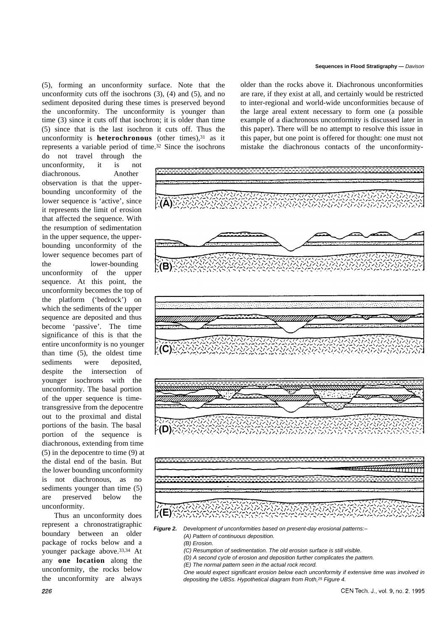(5), forming an unconformity surface. Note that the unconformity cuts off the isochrons (3), (4) and (5), and no sediment deposited during these times is preserved beyond the unconformity. The unconformity is younger than time (3) since it cuts off that isochron; it is older than time (5) since that is the last isochron it cuts off. Thus the unconformity is **heterochronous** (other times),<sup>31</sup> as it represents a variable period of time.32 Since the isochrons

do not travel through the unconformity, it is not diachronous. Another observation is that the upperbounding unconformity of the lower sequence is 'active', since it represents the limit of erosion that affected the sequence. With the resumption of sedimentation in the upper sequence, the upperbounding unconformity of the lower sequence becomes part of the lower-bounding unconformity of the upper sequence. At this point, the unconformity becomes the top of the platform ('bedrock') on which the sediments of the upper sequence are deposited and thus become 'passive'. The time significance of this is that the entire unconformity is no younger than time (5), the oldest time sediments were deposited, despite the intersection of younger isochrons with the unconformity. The basal portion of the upper sequence is timetransgressive from the depocentre out to the proximal and distal portions of the basin. The basal portion of the sequence is diachronous, extending from time (5) in the depocentre to time (9) at the distal end of the basin. But the lower bounding unconformity is not diachronous, as no sediments younger than time (5) are preserved below the unconformity.

Thus an unconformity does represent a chronostratigraphic boundary between an older package of rocks below and a younger package above.33,34 At any **one location** along the unconformity, the rocks below the unconformity are always

#### **Sequences in Flood Stratigraphy —** *Davison*

older than the rocks above it. Diachronous unconformities are rare, if they exist at all, and certainly would be restricted to inter-regional and world-wide unconformities because of the large areal extent necessary to form one (a possible example of a diachronous unconformity is discussed later in this paper). There will be no attempt to resolve this issue in this paper, but one point is offered for thought: one must not mistake the diachronous contacts of the unconformity-

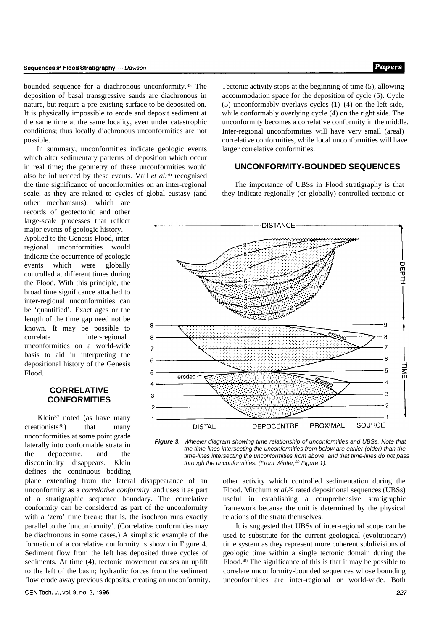#### Sequences in Flood Stratigraphy - Davison

bounded sequence for a diachronous unconformity.35 The deposition of basal transgressive sands are diachronous in nature, but require a pre-existing surface to be deposited on. It is physically impossible to erode and deposit sediment at the same time at the same locality, even under catastrophic conditions; thus locally diachronous unconformities are not possible.

In summary, unconformities indicate geologic events which alter sedimentary patterns of deposition which occur in real time; the geometry of these unconformities would also be influenced by these events. Vail *et al.36* recognised the time significance of unconformities on an inter-regional scale, as they are related to cycles of global eustasy (and

other mechanisms), which are records of geotectonic and other large-scale processes that reflect major events of geologic history. Applied to the Genesis Flood, interregional unconformities would indicate the occurrence of geologic events which were globally controlled at different times during the Flood. With this principle, the broad time significance attached to inter-regional unconformities can be 'quantified'. Exact ages or the length of the time gap need not be known. It may be possible to correlate inter-regional unconformities on a world-wide basis to aid in interpreting the depositional history of the Genesis Flood.

# **CORRELATIVE CONFORMITIES**

Klein37 noted (as have many  $c$ reationists<sup>38</sup>) that many unconformities at some point grade laterally into conformable strata in the depocentre, and the discontinuity disappears. Klein defines the continuous bedding

plane extending from the lateral disappearance of an unconformity as a *correlative conformity,* and uses it as part of a stratigraphic sequence boundary. The correlative conformity can be considered as part of the unconformity with a 'zero' time break; that is, the isochron runs exactly parallel to the 'unconformity'. (Correlative conformities may be diachronous in some cases.) A simplistic example of the formation of a correlative conformity is shown in Figure 4. Sediment flow from the left has deposited three cycles of sediments. At time (4), tectonic movement causes an uplift to the left of the basin; hydraulic forces from the sediment flow erode away previous deposits, creating an unconformity. Tectonic activity stops at the beginning of time (5), allowing accommodation space for the deposition of cycle (5). Cycle (5) unconformably overlays cycles  $(1)$ – $(4)$  on the left side, while conformably overlying cycle (4) on the right side. The unconformity becomes a correlative conformity in the middle. Inter-regional unconformities will have very small (areal) correlative conformities, while local unconformities will have larger correlative conformities.

# **UNCONFORMITY-BOUNDED SEQUENCES**

The importance of UBSs in Flood stratigraphy is that they indicate regionally (or globally)-controlled tectonic or



*Figure 3. Wheeler diagram showing time relationship of unconformities and UBSs. Note that the time-lines intersecting the unconformities from below are earlier (older) than the time-lines intersecting the unconformities from above, and that time-lines do not pass through the unconformities. (From Winter,30 Figure 1).*

other activity which controlled sedimentation during the Flood. Mitchum *et al.39* rated depositional sequences (UBSs) useful in establishing a comprehensive stratigraphic framework because the unit is determined by the physical relations of the strata themselves.

It is suggested that UBSs of inter-regional scope can be used to substitute for the current geological (evolutionary) time system as they represent more coherent subdivisions of geologic time within a single tectonic domain during the Flood.40 The significance of this is that it may be possible to correlate unconformity-bounded sequences whose bounding unconformities are inter-regional or world-wide. Both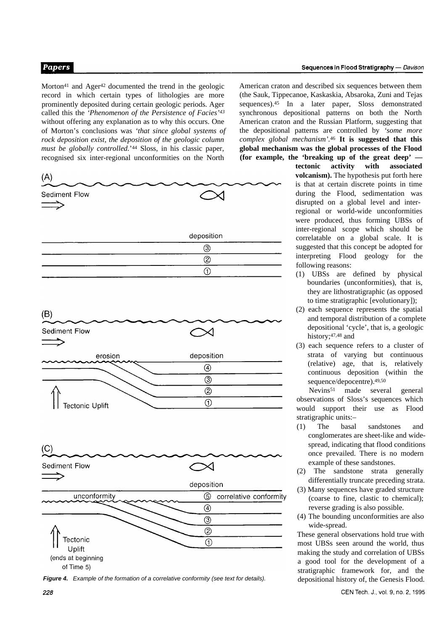Morton<sup>41</sup> and Ager<sup>42</sup> documented the trend in the geologic record in which certain types of lithologies are more prominently deposited during certain geologic periods. Ager called this the *'Phenomenon of the Persistence of Facies'<sup>43</sup>* without offering any explanation as to why this occurs. One of Morton's conclusions was *'that since global systems of rock deposition exist, the deposition of the geologic column must be globally controlled.*' <sup>44</sup> Sloss, in his classic paper, recognised six inter-regional unconformities on the North



*Figure 4. Example of the formation of a correlative conformity (see text for details).*

American craton and described six sequences between them (the Sauk, Tippecanoe, Kaskaskia, Absaroka, Zuni and Tejas sequences).45 In a later paper, Sloss demonstrated synchronous depositional patterns on both the North American craton and the Russian Platform, suggesting that the depositional patterns are controlled by *'some more complex global mechanism'.*<sup>46</sup> **It is suggested that this global mechanism was the global processes of the Flood (for example, the 'breaking up of the great deep' —**

> **tectonic activity with associated volcanism).** The hypothesis put forth here is that at certain discrete points in time during the Flood, sedimentation was disrupted on a global level and interregional or world-wide unconformities were produced, thus forming UBSs of inter-regional scope which should be correlatable on a global scale. It is suggested that this concept be adopted for interpreting Flood geology for the following reasons:

- (1) UBSs are defined by physical boundaries (unconformities), that is, they are lithostratigraphic (as opposed to time stratigraphic [evolutionary]);
- (2) each sequence represents the spatial and temporal distribution of a complete depositional 'cycle', that is, a geologic history;<sup>47,48</sup> and
- (3) each sequence refers to a cluster of strata of varying but continuous (relative) age, that is, relatively continuous deposition (within the sequence/depocentre).49,50

Nevins<sup>51</sup> made several general observations of Sloss's sequences which would support their use as Flood stratigraphic units:–

- (1) The basal sandstones and conglomerates are sheet-like and widespread, indicating that flood conditions once prevailed. There is no modern example of these sandstones.
- (2) The sandstone strata generally differentially truncate preceding strata.
- (3) Many sequences have graded structure (coarse to fine, clastic to chemical); reverse grading is also possible.
- (4) The bounding unconformities are also wide-spread.

These general observations hold true with most UBSs seen around the world, thus making the study and correlation of UBSs a good tool for the development of a stratigraphic framework for, and the depositional history of, the Genesis Flood.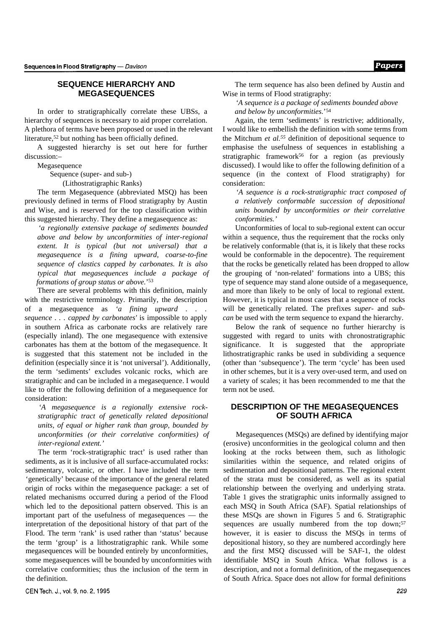# **SEQUENCE HIERARCHY AND MEGASEQUENCES**

In order to stratigraphically correlate these UBSs, a hierarchy of sequences is necessary to aid proper correlation. A plethora of terms have been proposed or used in the relevant literature,<sup>52</sup> but nothing has been officially defined.

A suggested hierarchy is set out here for further discussion:–

Megasequence

Sequence (super- and sub-)

(Lithostratigraphic Ranks)

The term Megasequence (abbreviated MSQ) has been previously defined in terms of Flood stratigraphy by Austin and Wise, and is reserved for the top classification within this suggested hierarchy. They define a megasequence as:

*'a regionally extensive package of sediments bounded above and below by unconformities of inter-regional extent. It is typical (but not universal) that a megasequence is a fining upward, coarse-to-fine sequence of clastics capped by carbonates. It is also typical that megasequences include a package of formations of group status or above.*' 53

There are several problems with this definition, mainly with the restrictive terminology. Primarily, the description of a megasequence as *'a fining upward . . . sequence . . . capped by carbonates'* is impossible to apply in southern Africa as carbonate rocks are relatively rare (especially inland). The one megasequence with extensive carbonates has them at the bottom of the megasequence. It is suggested that this statement not be included in the definition (especially since it is 'not universal'). Additionally, the term 'sediments' excludes volcanic rocks, which are stratigraphic and can be included in a megasequence. I would like to offer the following definition of a megasequence for consideration:

*'A megasequence is a regionally extensive rockstratigraphic tract of genetically related depositional units, of equal or higher rank than group, bounded by unconformities (or their correlative conformities) of inter-regional extent.'*

The term 'rock-stratigraphic tract' is used rather than sediments, as it is inclusive of all surface-accumulated rocks: sedimentary, volcanic, or other. I have included the term 'genetically' because of the importance of the general related origin of rocks within the megasequence package: a set of related mechanisms occurred during a period of the Flood which led to the depositional pattern observed. This is an important part of the usefulness of megasequences — the interpretation of the depositional history of that part of the Flood. The term 'rank' is used rather than 'status' because the term 'group' is a lithostratigraphic rank. While some megasequences will be bounded entirely by unconformities, some megasequences will be bounded by unconformities with correlative conformities; thus the inclusion of the term in the definition.

The term sequence has also been defined by Austin and Wise in terms of Flood stratigraphy:

*'A sequence is a package of sediments bounded above and below by unconformities.*' 54

Again, the term 'sediments' is restrictive; additionally, I would like to embellish the definition with some terms from the Mitchum *et al.55* definition of depositional sequence to emphasise the usefulness of sequences in establishing a stratigraphic framework<sup>56</sup> for a region (as previously discussed). I would like to offer the following definition of a sequence (in the context of Flood stratigraphy) for consideration:

*'A sequence is a rock-stratigraphic tract composed of a relatively conformable succession of depositional units bounded by unconformities or their correlative conformities.'*

Unconformities of local to sub-regional extent can occur within a sequence, thus the requirement that the rocks only be relatively conformable (that is, it is likely that these rocks would be conformable in the depocentre). The requirement that the rocks be genetically related has been dropped to allow the grouping of 'non-related' formations into a UBS; this type of sequence may stand alone outside of a megasequence, and more than likely to be only of local to regional extent. However, it is typical in most cases that a sequence of rocks will be genetically related. The prefixes *super-* and *subcan* be used with the term sequence to expand the hierarchy.

Below the rank of sequence no further hierarchy is suggested with regard to units with chronostratigraphic significance. It is suggested that the appropriate lithostratigraphic ranks be used in subdividing a sequence (other than 'subsequence'). The term 'cycle' has been used in other schemes, but it is a very over-used term, and used on a variety of scales; it has been recommended to me that the term not be used.

# **DESCRIPTION OF THE MEGASEQUENCES OF SOUTH AFRICA**

Megasequences (MSQs) are defined by identifying major (erosive) unconformities in the geological column and then looking at the rocks between them, such as lithologic similarities within the sequence, and related origins of sedimentation and depositional patterns. The regional extent of the strata must be considered, as well as its spatial relationship between the overlying and underlying strata. Table 1 gives the stratigraphic units informally assigned to each MSQ in South Africa (SAF). Spatial relationships of these MSQs are shown in Figures 5 and 6. Stratigraphic sequences are usually numbered from the top down;57 however, it is easier to discuss the MSQs in terms of depositional history, so they are numbered accordingly here and the first MSQ discussed will be SAF-1, the oldest identifiable MSQ in South Africa. What follows is a description, and not a formal definition, of the megasequences of South Africa. Space does not allow for formal definitions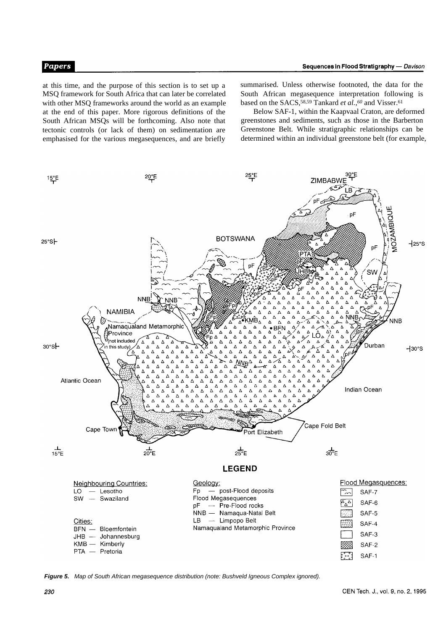at this time, and the purpose of this section is to set up a MSQ framework for South Africa that can later be correlated with other MSQ frameworks around the world as an example at the end of this paper. More rigorous definitions of the South African MSQs will be forthcoming. Also note that tectonic controls (or lack of them) on sedimentation are emphasised for the various megasequences, and are briefly

summarised. Unless otherwise footnoted, the data for the South African megasequence interpretation following is based on the SACS,<sup>58,59</sup> Tankard *et al.*,<sup>60</sup> and Visser.<sup>61</sup>

Below SAF-1, within the Kaapvaal Craton, are deformed greenstones and sediments, such as those in the Barberton Greenstone Belt. While stratigraphic relationships can be determined within an individual greenstone belt (for example,



*Figure 5. Map of South African megasequence distribution (note: Bushveld Igneous Complex ignored).*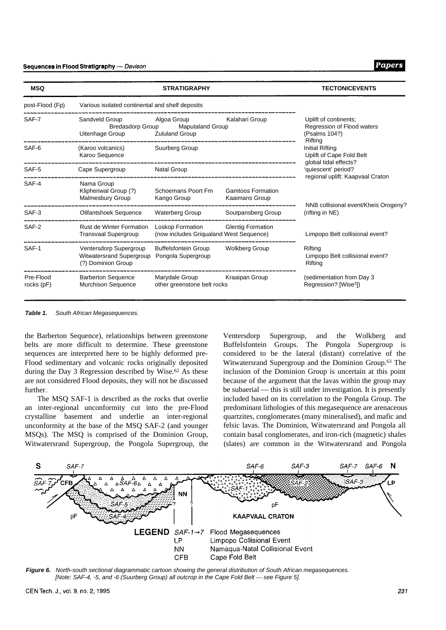| <b>MSQ</b>                                                                                                                                                                                                                                                                                                                                                                                                                             |                                                        | <b>TECTONICEVENTS</b>                                                           |                                            |                                                                      |
|----------------------------------------------------------------------------------------------------------------------------------------------------------------------------------------------------------------------------------------------------------------------------------------------------------------------------------------------------------------------------------------------------------------------------------------|--------------------------------------------------------|---------------------------------------------------------------------------------|--------------------------------------------|----------------------------------------------------------------------|
|                                                                                                                                                                                                                                                                                                                                                                                                                                        |                                                        |                                                                                 |                                            |                                                                      |
| SAF-7                                                                                                                                                                                                                                                                                                                                                                                                                                  | Sandveld Group<br>Uitenhage Group                      | Uplift of continents;<br>Regression of Flood waters<br>(Psalms 104?)<br>Rifting |                                            |                                                                      |
| SAF-6                                                                                                                                                                                                                                                                                                                                                                                                                                  | (Karoo volcanics)<br>Karoo Sequence                    | Suurberg Group                                                                  |                                            | Initial Rifting<br>Uplift of Cape Fold Belt<br>global tidal effects? |
| post-Flood (Fp)<br>Various isolated continental and shelf deposits<br>Algoa Group<br><b>Bredasdorp Group</b><br><b>Zululand Group</b><br>SAF-5<br>Cape Supergroup<br>SAF-4<br>Nama Group<br>Kliphenwal Group (?)<br><b>Malmesbury Group</b><br>SAF-3<br>Olifantshoek Sequence<br>SAF-2<br>Rust de Winter Formation<br><b>Transvaal Supergroup</b><br>Ventersdorp Supergroup<br>SAF-1<br>Witwatersrand Supergroup<br>(?) Dominion Group |                                                        | <b>Natal Group</b>                                                              |                                            | 'quiescent' period?<br>regional uplift: Kaapvaal Craton              |
|                                                                                                                                                                                                                                                                                                                                                                                                                                        |                                                        | Schoemans Poort Fm<br>Kango Group                                               | <b>Gamtoos Formation</b><br>Kaaimans Group |                                                                      |
|                                                                                                                                                                                                                                                                                                                                                                                                                                        |                                                        | <b>Waterberg Group</b>                                                          | Soutpansberg Group                         | NNB collisional event/Kheis Orogeny?<br>(rifting in NE)              |
|                                                                                                                                                                                                                                                                                                                                                                                                                                        |                                                        | Loskop Formation<br>(now includes Grigualand West Sequence)                     | <b>Glentig Formation</b>                   | Limpopo Belt collisional event?                                      |
|                                                                                                                                                                                                                                                                                                                                                                                                                                        |                                                        | <b>Buffelsfontein Group</b><br>Pongola Supergroup                               | <b>Wolkberg Group</b>                      | Rifting<br>Limpopo Belt collisional event?<br>Rifting                |
| Pre-Flood<br>rocks (pF)                                                                                                                                                                                                                                                                                                                                                                                                                | <b>Barberton Sequence</b><br><b>Murchison Sequence</b> | Marydale Group<br>other greenstone belt rocks                                   | Kraaipan Group                             | (sedimentation from Day 3<br>Regression? [Wise <sup>3</sup> ])       |

*Table 1. South African Megasequences.*

the Barberton Sequence), relationships between greenstone belts are more difficult to determine. These greenstone sequences are interpreted here to be highly deformed pre-Flood sedimentary and volcanic rocks originally deposited during the Day 3 Regression described by Wise.<sup>62</sup> As these are not considered Flood deposits, they will not be discussed further.

The MSQ SAF-1 is described as the rocks that overlie an inter-regional unconformity cut into the pre-Flood crystalline basement and underlie an inter-regional unconformity at the base of the MSQ SAF-2 (and younger MSQs). The MSQ is comprised of the Dominion Group, Witwatersrand Supergroup, the Pongola Supergroup, the Ventersdorp Supergroup, and the Wolkberg and Buffelsfontein Groups. The Pongola Supergroup is considered to be the lateral (distant) correlative of the Witwatersrand Supergroup and the Dominion Group.63 The inclusion of the Dominion Group is uncertain at this point because of the argument that the lavas within the group may be subaerial — this is still under investigation. It is presently included based on its correlation to the Pongola Group. The predominant lithologies of this megasequence are arenaceous quartzites, conglomerates (many mineralised), and mafic and felsic lavas. The Dominion, Witwatersrand and Pongola all contain basal conglomerates, and iron-rich (magnetic) shales (slates) are common in the Witwatersrand and Pongola



*Figure 6. North-south sectional diagrammatic cartoon showing the general distribution of South African megasequences.* [Note: SAF-4, -5, and -6 (Suurberg Group) all outcrop in the Cape Fold Belt - see Figure 5].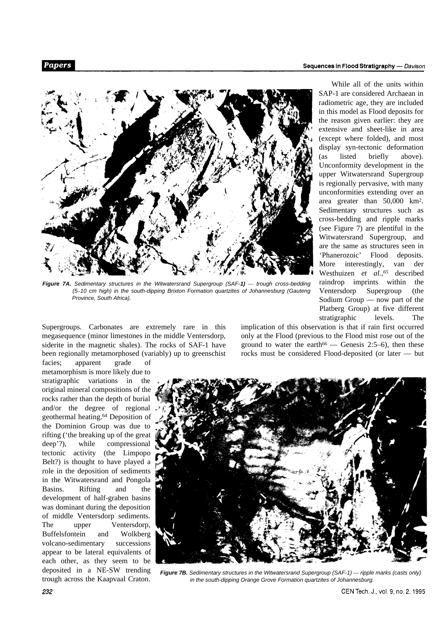While all of the units within



*Figure 7A. Sedimentary structures in the Witwatersrand Supergroup (SAF-1)* — *trough cross-bedding (5–10 cm high) in the south-dipping Brixton Formation quartzites of Johannesburg (Gauteng Province, South Africa).*

Supergroups. Carbonates are extremely rare in this megasequence (minor limestones in the middle Ventersdorp, siderite in the magnetic shales). The rocks of SAF-1 have been regionally metamorphosed (variably) up to greenschist

facies; apparent grade of metamorphism is more likely due to stratigraphic variations in the original mineral compositions of the rocks rather than the depth of burial and/or the degree of regional geothermal heating.64 Deposition of the Dominion Group was due to rifting ('the breaking up of the great deep'?), while compressional tectonic activity (the Limpopo Belt?) is thought to have played a role in the deposition of sediments in the Witwatersrand and Pongola Basins. Rifting and the development of half-graben basins was dominant during the deposition of middle Ventersdorp sediments. The upper Ventersdorp, Buffelsfontein and Wolkberg volcano-sedimentary successions appear to be lateral equivalents of each other, as they seem to be deposited in a NE-SW trending trough across the Kaapvaal Craton.

implication of this observation is that if rain first occurred only at the Flood (previous to the Flood mist rose out of the ground to water the earth<sup>66</sup> — Genesis 2:5-6), then these rocks must be considered Flood-deposited (or later — but

Ventersdorp Supergroup (the Sodium Group — now part of the Platberg Group) at five different stratigraphic levels. The



*Figure 7B. Sedimentary structures in the Witwatersrand Supergroup (SAF-1)* — *ripple marks (casts only) in the south-dipping Orange Grove Formation quartzites of Johannesburg.*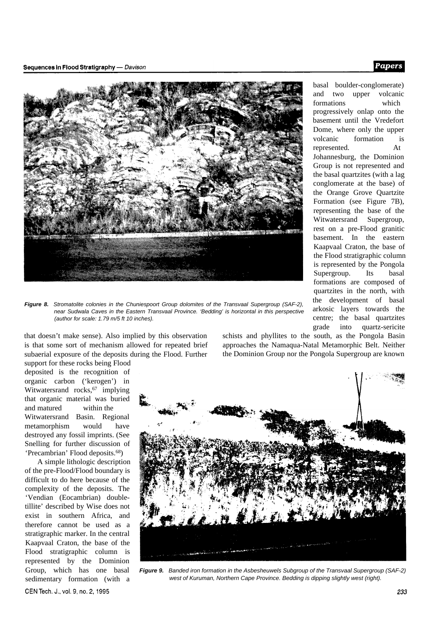#### Sequences in Flood Stratigraphy - Davison



*Figure 8. Stromatolite colonies in the Chuniespoort Group dolomites of the Transvaal Supergroup (SAF-2), near Sudwala Caves in the Eastern Transvaal Province. 'Bedding' is horizontal in this perspective (author for scale: 1.79 m/5 ft 10 inches).*

that doesn't make sense). Also implied by this observation is that some sort of mechanism allowed for repeated brief subaerial exposure of the deposits during the Flood. Further support for these rocks being Flood

deposited is the recognition of organic carbon ('kerogen') in Witwatersrand rocks,<sup>67</sup> implying that organic material was buried and matured within the Witwatersrand Basin. Regional metamorphism would have destroyed any fossil imprints. (See Snelling for further discussion of 'Precambrian' Flood deposits.68)

A simple lithologic description of the pre-Flood/Flood boundary is difficult to do here because of the complexity of the deposits. The 'Vendian (Eocambrian) doubletillite' described by Wise does not exist in southern Africa, and therefore cannot be used as a stratigraphic marker. In the central Kaapvaal Craton, the base of the Flood stratigraphic column is represented by the Dominion Group, which has one basal sedimentary formation (with a CEN Tech. J., vol. 9, no. 2, 1995

schists and phyllites to the south, as the Pongola Basin approaches the Namaqua-Natal Metamorphic Belt. Neither the Dominion Group nor the Pongola Supergroup are known



*Figure 9. Banded iron formation in the Asbesheuwels Subgroup of the Transvaal Supergroup (SAF-2) west of Kuruman, Northern Cape Province. Bedding is dipping slightly west (right).*

basal boulder-conglomerate) and two upper volcanic formations which progressively onlap onto the basement until the Vredefort Dome, where only the upper volcanic formation is represented. At Johannesburg, the Dominion Group is not represented and the basal quartzites (with a lag conglomerate at the base) of the Orange Grove Quartzite Formation (see Figure 7B), representing the base of the Witwatersrand Supergroup, rest on a pre-Flood granitic basement. In the eastern Kaapvaal Craton, the base of the Flood stratigraphic column is represented by the Pongola Supergroup. Its basal formations are composed of quartzites in the north, with the development of basal arkosic layers towards the centre; the basal quartzites grade into quartz-sericite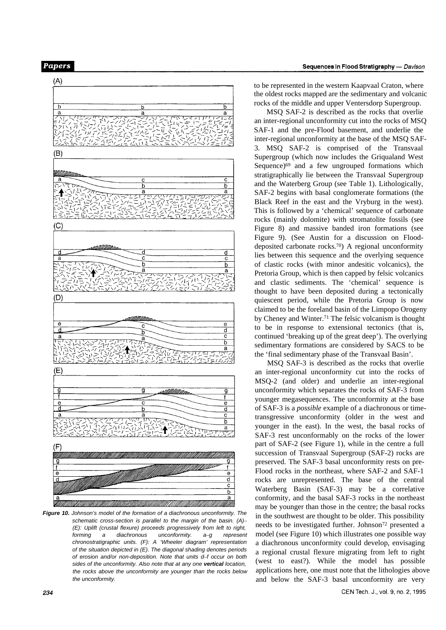

*Figure 10. Johnson's model of the formation of a diachronous unconformity. The schematic cross-section is parallel to the margin of the basin. (A)– (E): Uplift (crustal flexure) proceeds progressively from left to right, forming a diachronous unconformity. a–g represent chronostratigraphic units. (F): A 'Wheeler diagram' representation of the situation depicted in (E). The diagonal shading denotes periods of erosion and/or non-deposition. Note that units d–f occur on both sides of the unconformity. Also note that at any one vertical location, the rocks above the unconformity are younger than the rocks below the unconformity.*

to be represented in the western Kaapvaal Craton, where the oldest rocks mapped are the sedimentary and volcanic rocks of the middle and upper Ventersdorp Supergroup.

MSQ SAF-2 is described as the rocks that overlie an inter-regional unconformity cut into the rocks of MSQ SAF-1 and the pre-Flood basement, and underlie the inter-regional unconformity at the base of the MSQ SAF-3. MSQ SAF-2 is comprised of the Transvaal Supergroup (which now includes the Griqualand West Sequence)<sup>69</sup> and a few ungrouped formations which stratigraphically lie between the Transvaal Supergroup and the Waterberg Group (see Table 1). Lithologically, SAF-2 begins with basal conglomerate formations (the Black Reef in the east and the Vryburg in the west). This is followed by a 'chemical' sequence of carbonate rocks (mainly dolomite) with stromatolite fossils (see Figure 8) and massive banded iron formations (see Figure 9). (See Austin for a discussion on Flooddeposited carbonate rocks.70) A regional unconformity lies between this sequence and the overlying sequence of clastic rocks (with minor andesitic volcanics), the Pretoria Group, which is then capped by felsic volcanics and clastic sediments. The 'chemical' sequence is thought to have been deposited during a tectonically quiescent period, while the Pretoria Group is now claimed to be the foreland basin of the Limpopo Orogeny by Cheney and Winter.71 The felsic volcanism is thought to be in response to extensional tectonics (that is, continued 'breaking up of the great deep'). The overlying sedimentary formations are considered by SACS to be the 'final sedimentary phase of the Transvaal Basin'.

MSQ SAF-3 is described as the rocks that overlie an inter-regional unconformity cut into the rocks of MSQ-2 (and older) and underlie an inter-regional unconformity which separates the rocks of SAF-3 from younger megasequences. The unconformity at the base of SAF-3 is a *possible* example of a diachronous or timetransgressive unconformity (older in the west and younger in the east). In the west, the basal rocks of SAF-3 rest unconformably on the rocks of the lower part of SAF-2 (see Figure 1), while in the centre a full succession of Transvaal Supergroup (SAF-2) rocks are preserved. The SAF-3 basal unconformity rests on pre-Flood rocks in the northeast, where SAF-2 and SAF-1 rocks are unrepresented. The base of the central Waterberg Basin (SAF-3) may be a correlative conformity, and the basal SAF-3 rocks in the northeast may be younger than those in the centre; the basal rocks in the southwest are thought to be older. This possibility needs to be investigated further. Johnson72 presented a model (see Figure 10) which illustrates one possible way a diachronous unconformity could develop, envisaging a regional crustal flexure migrating from left to right (west to east?). While the model has possible applications here, one must note that the lithologies above and below the SAF-3 basal unconformity are very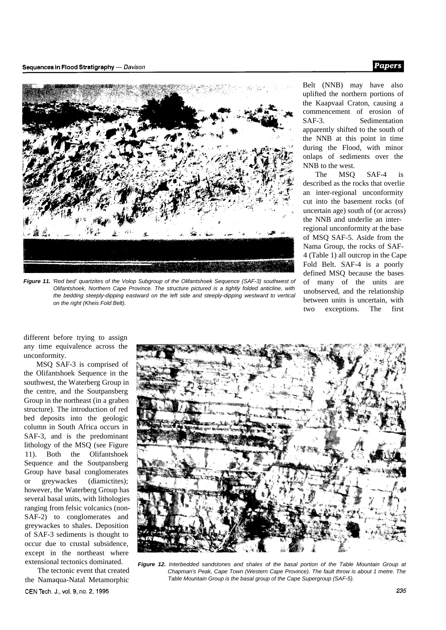

*Figure 11. 'Red bed' quartzites of the Volop Subgroup of the Olifantshoek Sequence (SAF-3) southwest of Olifantshoek, Northern Cape Province. The structure pictured is a tightly folded anticline, with the bedding steeply-dipping eastward on the left side and steeply-dipping westward to vertical on the right (Kheis Fold Belt).*

Belt (NNB) may have also uplifted the northern portions of the Kaapvaal Craton, causing a commencement of erosion of SAF-3. Sedimentation apparently shifted to the south of the NNB at this point in time during the Flood, with minor onlaps of sediments over the NNB to the west.

The MSQ SAF-4 is described as the rocks that overlie an inter-regional unconformity cut into the basement rocks (of uncertain age) south of (or across) the NNB and underlie an interregional unconformity at the base of MSQ SAF-5. Aside from the Nama Group, the rocks of SAF-4 (Table 1) all outcrop in the Cape Fold Belt. SAF-4 is a poorly defined MSQ because the bases of many of the units are unobserved, and the relationship between units is uncertain, with two exceptions. The first

different before trying to assign any time equivalence across the unconformity.

MSQ SAF-3 is comprised of the Olifantshoek Sequence in the southwest, the Waterberg Group in the centre, and the Soutpansberg Group in the northeast (in a graben structure). The introduction of red bed deposits into the geologic column in South Africa occurs in SAF-3, and is the predominant lithology of the MSQ (see Figure 11). Both the Olifantshoek Sequence and the Soutpansberg Group have basal conglomerates or greywackes (diamictites); however, the Waterberg Group has several basal units, with lithologies ranging from felsic volcanics (non-SAF-2) to conglomerates and greywackes to shales. Deposition of SAF-3 sediments is thought to occur due to crustal subsidence, except in the northeast where extensional tectonics dominated.

The tectonic event that created the Namaqua-Natal Metamorphic CEN Tech. J., vol. 9, no. 2, 1995



*Figure 12. Interbedded sandstones and shales of the basal portion of the Table Mountain Group at Chapman's Peak, Cape Town (Western Cape Province). The fault throw is about 1 metre. The Table Mountain Group is the basal group of the Cape Supergroup (SAF-5).*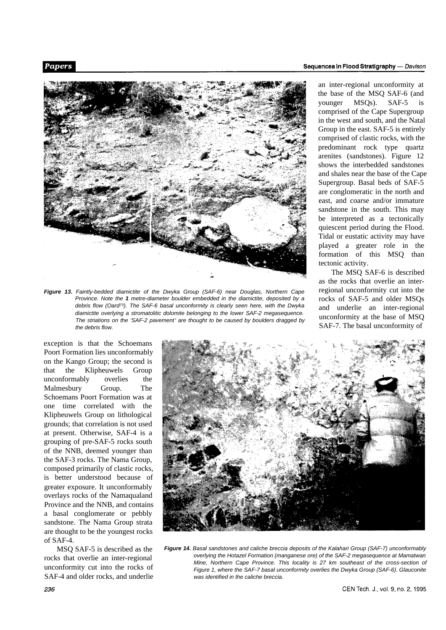

*Figure 13. Faintly-bedded diamictite of the Dwyka Group (SAF-6) near Douglas, Northern Cape Province. Note the 1 metre-diameter boulder embedded in the diamictite, deposited by a debris flow (Oard73). The SAF-6 basal unconformity is clearly seen here, with the Dwyka diamictite overlying a stromatolitic dolomite belonging to the lower SAF-2 megasequence. The striations on the 'SAF-2 pavement' are thought to be caused by boulders dragged by the debris flow.*

an inter-regional unconformity at the base of the MSQ SAF-6 (and younger MSQs). SAF-5 is comprised of the Cape Supergroup in the west and south, and the Natal Group in the east. SAF-5 is entirely comprised of clastic rocks, with the predominant rock type quartz arenites (sandstones). Figure 12 shows the interbedded sandstones and shales near the base of the Cape Supergroup. Basal beds of SAF-5 are conglomeratic in the north and

east, and coarse and/or immature sandstone in the south. This may be interpreted as a tectonically quiescent period during the Flood. Tidal or eustatic activity may have played a greater role in the formation of this MSQ than tectonic activity.

The MSQ SAF-6 is described as the rocks that overlie an interregional unconformity cut into the rocks of SAF-5 and older MSQs and underlie an inter-regional unconformity at the base of MSQ SAF-7. The basal unconformity of

exception is that the Schoemans Poort Formation lies unconformably on the Kango Group; the second is that the Klipheuwels Group unconformably overlies the Malmesbury Group. The Schoemans Poort Formation was at one time correlated with the Klipheuwels Group on lithological grounds; that correlation is not used at present. Otherwise, SAF-4 is a grouping of pre-SAF-5 rocks south of the NNB, deemed younger than the SAF-3 rocks. The Nama Group, composed primarily of clastic rocks, is better understood because of greater exposure. It unconformably overlays rocks of the Namaqualand Province and the NNB, and contains a basal conglomerate or pebbly sandstone. The Nama Group strata are thought to be the youngest rocks of SAF-4.

MSQ SAF-5 is described as the rocks that overlie an inter-regional unconformity cut into the rocks of SAF-4 and older rocks, and underlie



*Figure 14. Basal sandstones and caliche breccia deposits of the Kalahari Group (SAF-7) unconformably overlying the Hotazel Formation (manganese ore) of the SAF-2 megasequence at Mamatwan Mine, Northern Cape Province. This locality is 27 km southeast of the cross-section of Figure 1, where the SAF-7 basal unconformity overlies the Dwyka Group (SAF-6). Glauconite was identified in the caliche breccia.*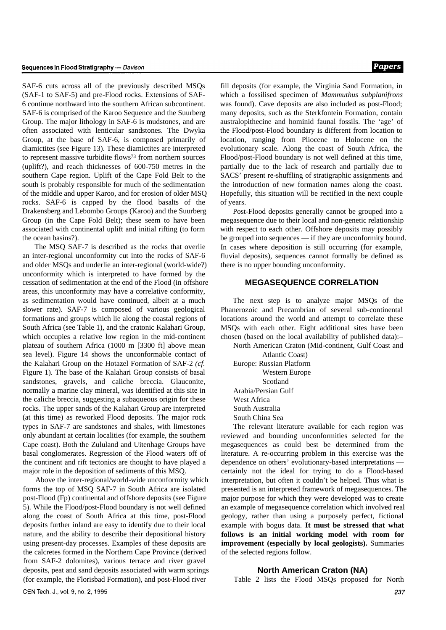SAF-6 cuts across all of the previously described MSQs (SAF-1 to SAF-5) and pre-Flood rocks. Extensions of SAF-6 continue northward into the southern African subcontinent. SAF-6 is comprised of the Karoo Sequence and the Suurberg Group. The major lithology in SAF-6 is mudstones, and are often associated with lenticular sandstones. The Dwyka Group, at the base of SAF-6, is composed primarily of diamictites (see Figure 13). These diamictites are interpreted to represent massive turbidite flows73 from northern sources (uplift?), and reach thicknesses of 600-750 metres in the southern Cape region. Uplift of the Cape Fold Belt to the south is probably responsible for much of the sedimentation of the middle and upper Karoo, and for erosion of older MSQ rocks. SAF-6 is capped by the flood basalts of the Drakensberg and Lebombo Groups (Karoo) and the Suurberg Group (in the Cape Fold Belt); these seem to have been associated with continental uplift and initial rifting (to form the ocean basins?).

The MSQ SAF-7 is described as the rocks that overlie an inter-regional unconformity cut into the rocks of SAF-6 and older MSQs and underlie an inter-regional (world-wide?) unconformity which is interpreted to have formed by the cessation of sedimentation at the end of the Flood (in offshore areas, this unconformity may have a correlative conformity, as sedimentation would have continued, albeit at a much slower rate). SAF-7 is composed of various geological formations and groups which lie along the coastal regions of South Africa (see Table 1), and the cratonic Kalahari Group, which occupies a relative low region in the mid-continent plateau of southern Africa (1000 m [3300 ft] above mean sea level). Figure 14 shows the unconformable contact of the Kalahari Group on the Hotazel Formation of SAF-2 *(cf.* Figure 1). The base of the Kalahari Group consists of basal sandstones, gravels, and caliche breccia. Glauconite, normally a marine clay mineral, was identified at this site in the caliche breccia, suggesting a subaqueous origin for these rocks. The upper sands of the Kalahari Group are interpreted (at this time) as reworked Flood deposits. The major rock types in SAF-7 are sandstones and shales, with limestones only abundant at certain localities (for example, the southern Cape coast). Both the Zululand and Uitenhage Groups have basal conglomerates. Regression of the Flood waters off of the continent and rift tectonics are thought to have played a major role in the deposition of sediments of this MSQ.

Above the inter-regional/world-wide unconformity which forms the top of MSQ SAF-7 in South Africa are isolated post-Flood (Fp) continental and offshore deposits (see Figure 5). While the Flood/post-Flood boundary is not well defined along the coast of South Africa at this time, post-Flood deposits further inland are easy to identify due to their local nature, and the ability to describe their depositional history using present-day processes. Examples of these deposits are the calcretes formed in the Northern Cape Province (derived from SAF-2 dolomites), various terrace and river gravel deposits, peat and sand deposits associated with warm springs (for example, the Florisbad Formation), and post-Flood river

fill deposits (for example, the Virginia Sand Formation, in which a fossilised specimen of *Mammuthus subplanifrons* was found). Cave deposits are also included as post-Flood; many deposits, such as the Sterkfontein Formation, contain australopithecine and hominid faunal fossils. The 'age' of the Flood/post-Flood boundary is different from location to location, ranging from Pliocene to Holocene on the evolutionary scale. Along the coast of South Africa, the Flood/post-Flood boundary is not well defined at this time, partially due to the lack of research and partially due to SACS' present re-shuffling of stratigraphic assignments and the introduction of new formation names along the coast. Hopefully, this situation will be rectified in the next couple of years.

Post-Flood deposits generally cannot be grouped into a megasequence due to their local and non-genetic relationship with respect to each other. Offshore deposits may possibly be grouped into sequences — if they are unconformity bound. In cases where deposition is still occurring (for example, fluvial deposits), sequences cannot formally be defined as there is no upper bounding unconformity.

# **MEGASEQUENCE CORRELATION**

The next step is to analyze major MSOs of the Phanerozoic and Precambrian of several sub-continental locations around the world and attempt to correlate these MSQs with each other. Eight additional sites have been chosen (based on the local availability of published data):–

North American Craton (Mid-continent, Gulf Coast and

Atlantic Coast) Europe: Russian Platform Western Europe Scotland Arabia/Persian Gulf West Africa South Australia South China Sea

The relevant literature available for each region was reviewed and bounding unconformities selected for the megasequences as could best be determined from the literature. A re-occurring problem in this exercise was the dependence on others' evolutionary-based interpretations certainly not the ideal for trying to do a Flood-based interpretation, but often it couldn't be helped. Thus what is presented is an interpreted framework of megasequences. The major purpose for which they were developed was to create an example of megasequence correlation which involved real geology, rather than using a purposely perfect, fictional example with bogus data. **It must be stressed that what follows is an initial working model with room for improvement (especially by local geologists).** Summaries of the selected regions follow.

#### **North American Craton (NA)**

Table 2 lists the Flood MSQs proposed for North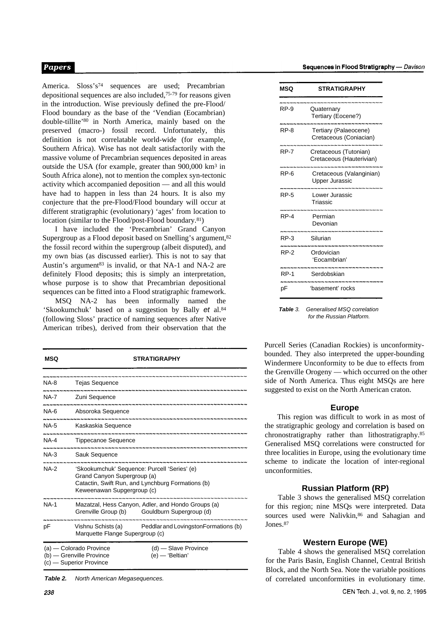America. Sloss's<sup>74</sup> sequences are used; Precambrian depositional sequences are also included,75-79 for reasons given in the introduction. Wise previously defined the pre-Flood/ Flood boundary as the base of the 'Vendian (Eocambrian) double-tillite'<sup>80</sup> in North America, mainly based on the preserved (macro-) fossil record. Unfortunately, this definition is not correlatable world-wide (for example, Southern Africa). Wise has not dealt satisfactorily with the massive volume of Precambrian sequences deposited in areas outside the USA (for example, greater than 900,000 km3 in South Africa alone), not to mention the complex syn-tectonic activity which accompanied deposition — and all this would have had to happen in less than 24 hours. It is also my conjecture that the pre-Flood/Flood boundary will occur at different stratigraphic (evolutionary) 'ages' from location to location (similar to the Flood/post-Flood boundary.<sup>81</sup>)

I have included the 'Precambrian' Grand Canyon Supergroup as a Flood deposit based on Snelling's argument,  $82$ the fossil record within the supergroup (albeit disputed), and my own bias (as discussed earlier). This is not to say that Austin's argument<sup>83</sup> is invalid, or that NA-1 and NA-2 are definitely Flood deposits; this is simply an interpretation, whose purpose is to show that Precambrian depositional sequences can be fitted into a Flood stratigraphic framework.

MSQ NA-2 has been informally named the 'Skookumchuk' based on a suggestion by Bally *et* al.<sup>84</sup> (following Sloss' practice of naming sequences after Native American tribes), derived from their observation that the

| MSQ         | <b>STRATIGRAPHY</b>                                                                                                                                            |  |  |  |  |
|-------------|----------------------------------------------------------------------------------------------------------------------------------------------------------------|--|--|--|--|
| NA-8        | <b>Tejas Sequence</b>                                                                                                                                          |  |  |  |  |
| NA-7        | Zuni Sequence                                                                                                                                                  |  |  |  |  |
| NA-6        | Absoroka Sequence                                                                                                                                              |  |  |  |  |
| NA-5        | Kaskaskia Sequence                                                                                                                                             |  |  |  |  |
| <b>NA-4</b> | <b>Tippecanoe Sequence</b>                                                                                                                                     |  |  |  |  |
| NA-3        | Sauk Sequence                                                                                                                                                  |  |  |  |  |
| <b>NA-2</b> | 'Skookumchuk' Sequence: Purcell 'Series' (e)<br>Grand Canyon Supergroup (a)<br>Catactin, Swift Run, and Lynchburg Formations (b)<br>Keweenawan Supgergroup (c) |  |  |  |  |
| <b>NA-1</b> | Mazatzal, Hess Canyon, Adler, and Hondo Groups (a)<br>Grenville Group (b) Gouldburn Supergroup (d)                                                             |  |  |  |  |
| рF          | Vishnu Schists (a) Peddlar and Lovingston Formations (b)<br>Marquette Flange Supergroup (c)                                                                    |  |  |  |  |
|             | $(d)$ - Slave Province<br>(a) — Colorado Province<br>(b) - Grenville Province<br>(e) — 'Beltian'<br>(c) — Superior Province                                    |  |  |  |  |

*Table 2. North American Megasequences.*

| MSQ         | <b>STRATIGRAPHY</b>                               |
|-------------|---------------------------------------------------|
| RP-9        | Quaternary<br>Tertiary (Eocene?)                  |
| <b>RP-8</b> | Tertiary (Palaeocene)<br>Cretaceous (Coniacian)   |
| RP-7        | Cretaceous (Tutonian)<br>Cretaceous (Hauterivian) |
| RP-6        | Cretaceous (Valanginian)<br><b>Upper Jurassic</b> |
| <b>RP-5</b> | Lower Jurassic<br>Triassic                        |
| $RP-4$      | Permian<br>Devonian                               |
| RP-3        | Silurian                                          |
| RP-2        | Ordovician<br>'Eocambrian'                        |
| <b>RP-1</b> | Serdobskian                                       |
| рF          | 'basement' rocks                                  |

*Table 3. Generalised MSQ correlation for the Russian Platform.*

Purcell Series (Canadian Rockies) is unconformitybounded. They also interpreted the upper-bounding Windermere Unconformity to be due to effects from the Grenville Orogeny — which occurred on the other side of North America. Thus eight MSQs are here suggested to exist on the North American craton.

#### **Europe**

This region was difficult to work in as most of the stratigraphic geology and correlation is based on chronostratigraphy rather than lithostratigraphy.<sup>85</sup> Generalised MSQ correlations were constructed for three localities in Europe, using the evolutionary time scheme to indicate the location of inter-regional unconformities.

# **Russian Platform (RP)**

Table 3 shows the generalised MSQ correlation for this region; nine MSQs were interpreted. Data sources used were Nalivkin, 86 and Sahagian and Jones.<sup>87</sup>

# **Western Europe (WE)**

Table 4 shows the generalised MSQ correlation for the Paris Basin, English Channel, Central British Block, and the North Sea. Note the variable positions of correlated unconformities in evolutionary time.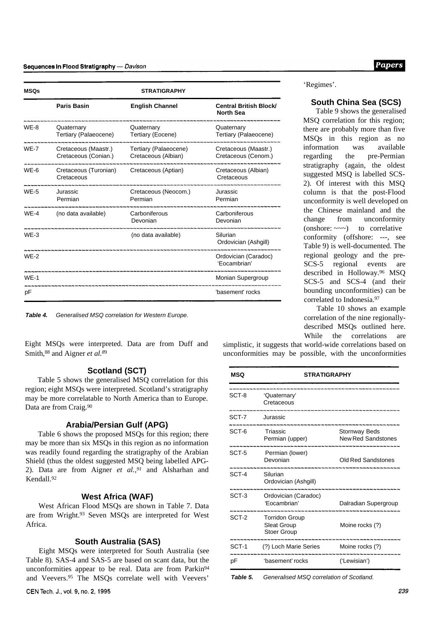| <b>MSQs</b> | <b>STRATIGRAPHY</b>                          |                                              |                                                                 |  |  |  |  |
|-------------|----------------------------------------------|----------------------------------------------|-----------------------------------------------------------------|--|--|--|--|
|             | <b>Paris Basin</b>                           | <b>English Channel</b>                       | <b>Central British Block/</b><br><b>North Sea</b>               |  |  |  |  |
| WE-8        | Quaternary<br>Tertiary (Palaeocene)          | Quaternary<br>Tertiary (Eocene)              | Quaternary<br>Tertiary (Palaeocene)                             |  |  |  |  |
| <b>WF-7</b> | Cretaceous (Maastr.)<br>Cretaceous (Conian.) | Tertiary (Palaeocene)<br>Cretaceous (Albian) | Cretaceous (Maastr.)<br>Cretaceous (Cenom.)                     |  |  |  |  |
| WE-6        | Cretaceous (Turonian)<br>Cretaceous          | Cretaceous (Aptian)                          | Cretaceous (Albian)<br>Cretaceous                               |  |  |  |  |
| <b>WE-5</b> | Jurassic<br>Permian                          | Cretaceous (Neocom.)<br>Permian              | Jurassic<br>Permian                                             |  |  |  |  |
| $WF-4$      | (no data available)                          | Carboniferous<br>Devonian                    | Carboniferous<br>Devonian                                       |  |  |  |  |
| $WF-3$      |                                              | (no data available)                          | Silurian<br>Ordovician (Ashgill)                                |  |  |  |  |
| $WE-2$      |                                              |                                              | -----------------------<br>Ordovician (Caradoc)<br>'Eocambrian' |  |  |  |  |
| $WE-1$      |                                              |                                              | Monian Supergroup                                               |  |  |  |  |
| pF          |                                              |                                              | 'basement' rocks                                                |  |  |  |  |

*Table 4. Generalised MSQ correlation for Western Europe.*

Eight MSQs were interpreted. Data are from Duff and Smith,88 and Aigner *et al.<sup>8</sup>*<sup>9</sup>

#### **Scotland (SCT)**

Table 5 shows the generalised MSQ correlation for this region; eight MSQs were interpreted. Scotland's stratigraphy may be more correlatable to North America than to Europe. Data are from Craig.<sup>90</sup>

## **Arabia/Persian Gulf (APG)**

Table 6 shows the proposed MSQs for this region; there may be more than six MSQs in this region as no information was readily found regarding the stratigraphy of the Arabian Shield (thus the oldest suggested MSQ being labelled APG-2). Data are from Aigner *et al.,91* and Alsharhan and Kendall.<sup>92</sup>

# **West Africa (WAF)**

West African Flood MSQs are shown in Table 7. Data are from Wright.93 Seven MSQs are interpreted for West Africa.

## **South Australia (SAS)**

Eight MSQs were interpreted for South Australia (see Table 8). SAS-4 and SAS-5 are based on scant data, but the unconformities appear to be real. Data are from Parkin<sup>94</sup> and Veevers.95 The MSQs correlate well with Veevers'

CEN Tech. J., vol. 9, no. 2, 1995

'Regimes'.

#### **South China Sea (SCS)**

Table 9 shows the generalised MSQ correlation for this region; there are probably more than five MSQs in this region as no information was available regarding the pre-Permian stratigraphy (again, the oldest suggested MSQ is labelled SCS-2). Of interest with this MSQ column is that the post-Flood unconformity is well developed on the Chinese mainland and the change from unconformity (onshore: ~~~) to correlative conformity (offshore: ---, see Table 9) is well-documented. The regional geology and the pre-SCS-5 regional events are described in Holloway.96 MSQ SCS-5 and SCS-4 (and their bounding unconformities) can be correlated to Indonesia.<sup>97</sup>

Table 10 shows an example correlation of the nine regionallydescribed MSQs outlined here. While the correlations are

simplistic, it suggests that world-wide correlations based on unconformities may be possible, with the unconformities

| MSQ   | <b>STRATIGRAPHY</b>                                               |                                            |  |  |
|-------|-------------------------------------------------------------------|--------------------------------------------|--|--|
| SCT-8 | 'Quaternary'<br>Cretaceous                                        |                                            |  |  |
| SCT-7 | .<br>Jurassic                                                     |                                            |  |  |
| SCT-6 | Triassic<br>Permian (upper)                                       | Stornway Beds<br><b>New Red Sandstones</b> |  |  |
| SCT-5 | Permian (lower)<br>Devonian                                       | Old Red Sandstones                         |  |  |
| SCT-4 | Silurian<br>Ordovician (Ashgill)                                  |                                            |  |  |
| SCT-3 | Ordovician (Caradoc)<br>Focambrian'                               | Dalradian Supergroup                       |  |  |
| SCT-2 | <b>Torridon Group</b><br><b>Sleat Group</b><br><b>Stoer Group</b> | Moine rocks (?)                            |  |  |
| SCT-1 | (?) Loch Marie Series Moine rocks (?)                             |                                            |  |  |
| рF    | 'basement' rocks                                                  | ('Lewisian')                               |  |  |

*Table 5. Generalised MSQ correlation of Scotland.*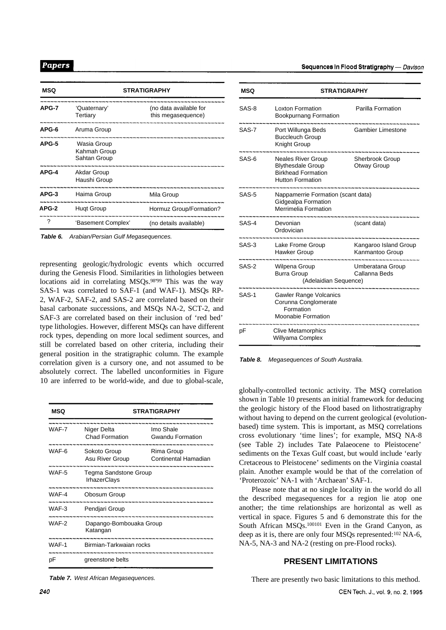| MSQ   | <b>STRATIGRAPHY</b>                         |                                              |  |  |
|-------|---------------------------------------------|----------------------------------------------|--|--|
| APG-7 | 'Quaternary'<br>Tertiary                    | (no data available for<br>this megasequence) |  |  |
| APG-6 | Aruma Group                                 |                                              |  |  |
| APG-5 | Wasia Group<br>Kahmah Group<br>Sahtan Group |                                              |  |  |
| APG-4 | Akdar Group<br>Haushi Group                 |                                              |  |  |
| APG-3 | Haima Group                                 | Mila Group                                   |  |  |
| APG-2 | <b>Hugt Group</b>                           | Hormuz Group/Formation?                      |  |  |
| 7     | 'Basement Complex'                          | (no details available)                       |  |  |

*Table 6. Arabian/Persian Gulf Megasequences.*

representing geologic/hydrologic events which occurred during the Genesis Flood. Similarities in lithologies between locations aid in correlating MSQs.<sup>98'99</sup> This was the way SAS-1 was correlated to SAF-1 (and WAF-1). MSQs RP-2, WAF-2, SAF-2, and SAS-2 are correlated based on their basal carbonate successions, and MSQs NA-2, SCT-2, and SAF-3 are correlated based on their inclusion of 'red bed' type lithologies. However, different MSQs can have different rock types, depending on more local sediment sources, and still be correlated based on other criteria, including their general position in the stratigraphic column. The example correlation given is a cursory one, and not assumed to be absolutely correct. The labelled unconformities in Figure 10 are inferred to be world-wide, and due to global-scale,

| MSQ   | <b>STRATIGRAPHY</b>                          |                                      |  |  |
|-------|----------------------------------------------|--------------------------------------|--|--|
| WAF-7 | Niger Delta<br><b>Chad Formation</b>         | Imo Shale<br><b>Gwandu Formation</b> |  |  |
| WAF-6 | Sokoto Group<br>Asu River Group              | Rima Group<br>Continental Hamadian   |  |  |
| WAF-5 | Tegma Sandstone Group<br><b>IrhazerClays</b> |                                      |  |  |
| WAF-4 | Obosum Group                                 |                                      |  |  |
| WAF-3 | Pendjari Group                               |                                      |  |  |
| WAF-2 | Dapango-Bombouaka Group<br>Katangan          |                                      |  |  |
| WAF-1 | Birmian-Tarkwaian rocks                      |                                      |  |  |
| рF    | greenstone belts                             |                                      |  |  |

*Table 7. West African Megasequences.*

| MSQ     | <b>STRATIGRAPHY</b>                                                                                           |                                          |  |  |  |
|---------|---------------------------------------------------------------------------------------------------------------|------------------------------------------|--|--|--|
| SAS-8   | <b>Loxton Formation</b><br><b>Bookpurnang Formation</b>                                                       | Parilla Formation                        |  |  |  |
| SAS-7   | Port Willunga Beds<br><b>Buccleuch Group</b><br>Knight Group                                                  | <b>Gambier Limestone</b>                 |  |  |  |
| SAS-6   | <b>Neales River Group</b><br><b>Blythesdale Group</b><br><b>Birkhead Formation</b><br><b>Hutton Formation</b> | Sherbrook Group<br>Otway Group           |  |  |  |
| SAS-5   | Nappamerrie Formation (scant data)<br>Gidgealpa Formation<br>Merrimelia Formation                             |                                          |  |  |  |
| SAS-4   | Devonian<br>Ordovician                                                                                        | (scant data)                             |  |  |  |
| SAS-3   | Lake Frome Group<br>Hawker Group                                                                              | Kangaroo Island Group<br>Kanmantoo Group |  |  |  |
| $SAS-2$ | Wilpena Group<br><b>Burra Group</b><br>(Adelaidian Sequence)                                                  | Umberatana Group<br>Callanna Beds        |  |  |  |
| SAS-1   | Gawler Range Volcanics<br>Corunna Conglomerate<br>Formation<br>Moonabie Formation                             |                                          |  |  |  |
| рF      | <b>Clive Metamorphics</b><br>Willyama Complex                                                                 |                                          |  |  |  |

*Table 8. Megasequences of South Australia.*

globally-controlled tectonic activity. The MSQ correlation shown in Table 10 presents an initial framework for deducing the geologic history of the Flood based on lithostratigraphy without having to depend on the current geological (evolutionbased) time system. This is important, as MSQ correlations cross evolutionary 'time lines'; for example, MSQ NA-8 (see Table 2) includes Tate Palaeocene to Pleistocene' sediments on the Texas Gulf coast, but would include 'early Cretaceous to Pleistocene' sediments on the Virginia coastal plain. Another example would be that of the correlation of 'Proterozoic' NA-1 with 'Archaean' SAF-1.

Please note that at no single locality in the world do all the described megasequences for a region lie atop one another; the time relationships are horizontal as well as vertical in space. Figures 5 and 6 demonstrate this for the South African MSQs.100101 Even in the Grand Canyon, as deep as it is, there are only four MSQs represented:<sup>102</sup> NA-6, NA-5, NA-3 and NA-2 (resting on pre-Flood rocks).

# **PRESENT LIMITATIONS**

There are presently two basic limitations to this method.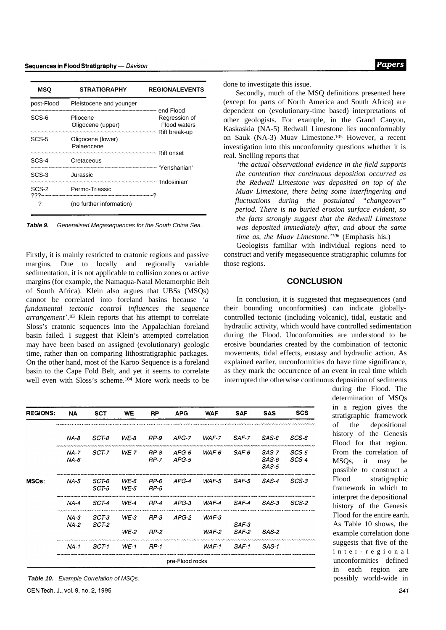| <b>MSQ</b> | <b>STRATIGRAPHY</b>                                                          | <b>REGIONALEVENTS</b>                |
|------------|------------------------------------------------------------------------------|--------------------------------------|
| post-Flood | Pleistocene and younger<br>-~~~~~~~~~~~~~~~~~~~~~~ end Flood                 |                                      |
| SCS-6      | Pliocene<br>Oligocene (upper)                                                | Regression of<br><b>Flood waters</b> |
| SCS-5      | Oligocene (lower)<br>Palaeocene<br>~~~~~~~~~~~~~~~~~~~~~~~~~~~~~~ Rift onset |                                      |
| SCS-4      | Cretaceous<br>-~~~~~~~~~~~~~~~~~~~~~~~~~~~~~~~~~ 'Yenshanian'                |                                      |
| SCS-3      | Jurassic                                                                     |                                      |
|            | SCS-2 Permo-Triassic<br>???~~~~~~~~~~~~~~~~~~~~~~~~~~~~~~~?                  |                                      |
| ?          | (no further information)                                                     |                                      |

*Table 9. Generalised Megasequences for the South China Sea.*

Firstly, it is mainly restricted to cratonic regions and passive margins. Due to locally and regionally variable sedimentation, it is not applicable to collision zones or active margins (for example, the Namaqua-Natal Metamorphic Belt of South Africa). Klein also argues that UBSs (MSQs) cannot be correlated into foreland basins because *'a fundamental tectonic control influences the sequence arrangement'*. <sup>103</sup> Klein reports that his attempt to correlate Sloss's cratonic sequences into the Appalachian foreland basin failed. I suggest that Klein's attempted correlation may have been based on assigned (evolutionary) geologic time, rather than on comparing lithostratigraphic packages. On the other hand, most of the Karoo Sequence is a foreland basin to the Cape Fold Belt, and yet it seems to correlate well even with Sloss's scheme.104 More work needs to be

Papers

done to investigate this issue.

Secondly, much of the MSQ definitions presented here (except for parts of North America and South Africa) are dependent on (evolutionary-time based) interpretations of other geologists. For example, in the Grand Canyon, Kaskaskia (NA-5) Redwall Limestone lies unconformably on Sauk (NA-3) Muav Limestone.105 However, a recent investigation into this unconformity questions whether it is real. Snelling reports that

*'the actual observational evidence in the field supports the contention that continuous deposition occurred as the Redwall Limestone was deposited on top of the Muav Limestone, there being some interfingering and fluctuations during the postulated "changeover" period. There is no buried erosion surface evident, so the facts strongly suggest that the Redwall Limestone was deposited immediately after, and about the same time as, the Muav Limestone.'106* (Emphasis his.)

Geologists familiar with individual regions need to construct and verify megasequence stratigraphic columns for those regions.

## **CONCLUSION**

In conclusion, it is suggested that megasequences (and their bounding unconformities) can indicate globallycontrolled tectonic (including volcanic), tidal, eustatic and hydraulic activity, which would have controlled sedimentation during the Flood. Unconformities are understood to be erosive boundaries created by the combination of tectonic movements, tidal effects, eustasy and hydraulic action. As explained earlier, unconformities do have time significance, as they mark the occurrence of an event in real time which interrupted the otherwise continuous deposition of sediments

| <b>REGIONS:</b> | NA                 | <b>SCT</b>     | <b>WE</b>        | <b>RP</b>    | <b>APG</b>       | <b>WAF</b> | <b>SAF</b>       | <b>SAS</b>              | scs            |
|-----------------|--------------------|----------------|------------------|--------------|------------------|------------|------------------|-------------------------|----------------|
|                 |                    |                |                  |              |                  |            |                  |                         |                |
|                 | $NA-8$             | SCT-8          | $WE-8$           | RP-9         | APG-7            | WAF-7      | SAF-7            | SAS-8                   | SCS-6          |
|                 | $NA - 7$<br>$NA-6$ | SCT-7          | $WE-7$           | RP-8<br>RP-7 | $APG-6$<br>APG-5 | WAF-6      | $SAF-6$          | SAS-7<br>SAS-6<br>SAS-5 | SCS-5<br>SCS-4 |
| MSQs:           | $NA-5$             | SCT-6<br>SCT 5 | $WE-6$<br>$WE-5$ | RP-6<br>RP-5 | $APG-4$          | WAF-5      | SAF-5            | SAS-4                   | SCS-3          |
|                 | $NA-4$             | SCT-4          | $WE-4$           | RP-4         | $APG-3$          | $WAF-4$    | SAF-4            | SAS-3                   | SCS-2          |
|                 | $NA-3$<br>$NA-2$   | SCT-3<br>SCT-2 | $WE-3$           | RP-3         | APG-2            | WAF-3      | SAF-3            |                         |                |
|                 |                    |                | WE 2             | RP 2         |                  | WAF-2      | SAF <sub>2</sub> | SAS 2                   |                |
|                 | NA-1               | SCT 1          | $WE-1$           | $HP-1$       |                  | WAF-1      | SAF-1            | SAS-1                   |                |
|                 |                    |                |                  |              | pre-Flood rocks  |            |                  |                         |                |

*Table 10. Example Correlation of MSQs.* possibly world-wide in

during the Flood. The determination of MSQs in a region gives the stratigraphic framework of the depositional history of the Genesis Flood for that region. From the correlation of MSQs, it may be possible to construct a Flood stratigraphic framework in which to interpret the depositional history of the Genesis Flood for the entire earth. As Table 10 shows, the example correlation done suggests that five of the inter-regional unconformities defined in each region are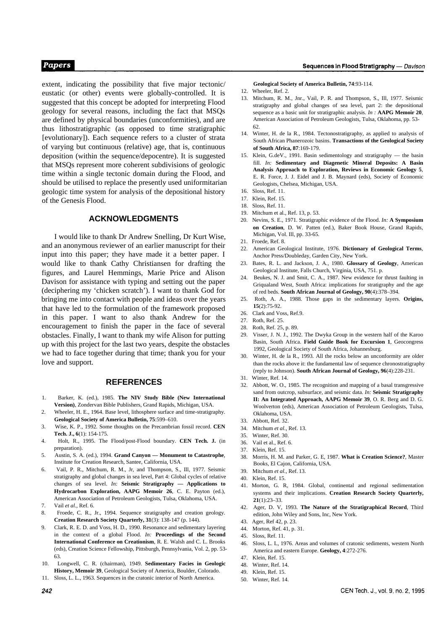extent, indicating the possibility that five major tectonic/ eustatic (or other) events were globally-controlled. It is suggested that this concept be adopted for interpreting Flood geology for several reasons, including the fact that MSQs are defined by physical boundaries (unconformities), and are thus lithostratigraphic (as opposed to time stratigraphic [evolutionary]). Each sequence refers to a cluster of strata of varying but continuous (relative) age, that is, continuous deposition (within the sequence/depocentre). It is suggested that MSQs represent more coherent subdivisions of geologic time within a single tectonic domain during the Flood, and should be utilised to replace the presently used uniformitarian geologic time system for analysis of the depositional history of the Genesis Flood.

# **ACKNOWLEDGMENTS**

I would like to thank Dr Andrew Snelling, Dr Kurt Wise, and an anonymous reviewer of an earlier manuscript for their input into this paper; they have made it a better paper. I would like to thank Cathy Christiansen for drafting the figures, and Laurel Hemmings, Marie Price and Alison Davison for assistance with typing and setting out the paper (deciphering my 'chicken scratch'). I want to thank God for bringing me into contact with people and ideas over the years that have led to the formulation of the framework proposed in this paper. I want to also thank Andrew for the encouragement to finish the paper in the face of several obstacles. Finally, I want to thank my wife Alison for putting up with this project for the last two years, despite the obstacles we had to face together during that time; thank you for your love and support.

# **REFERENCES**

- 1. Barker, K. (ed.), 1985. **The NIV Study Bible (New International Version)**, Zondervan Bible Publishers, Grand Rapids, Michigan, USA.
- 2. Wheeler, H. E., 1964. Base level, lithosphere surface and time-stratigraphy. **Geological Society of America Bulletin, 75**:599–610.
- 3. Wise, K. P., 1992. Some thoughts on the Precambrian fossil record. **CEN Tech. J., 6**(1): 154-175.
- 4. Holt, R., 1995. The Flood/post-Flood boundary. **CEN Tech. J.** (in preparation).
- 5. Austin, S. A. (ed.), 1994. **Grand Canyon Monument to Catastrophe**, Institute for Creation Research, Santee, California, USA.
- 6. Vail, P. R., Mitchum, R. M., Jr, and Thompson, S., Ill, 1977. Seismic stratigraphy and global changes in sea level, Part 4: Global cycles of relative changes of sea level. *In:* **Seismic Stratigraphy — Applications to Hydrocarbon Exploration, AAPG Memoir 26**, C. E. Payton (ed.), American Association of Petroleum Geologists, Tulsa, Oklahoma, USA.
- 7. Vail *et al.,* Ref. 6.
- 8. Froede, C. R., Jr., 1994. Sequence stratigraphy and creation geology. **Creation Research Society Quarterly, 31**(3): 138-147 (p. 144).
- 9. Clark, R. E. D. and Voss, H. D., 1990. Resonance and sedimentary layering in the context of a global Flood. *In:* **Proceedings of the Second International Conference on Creationism**, R. E. Walsh and C. L. Brooks (eds), Creation Science Fellowship, Pittsburgh, Pennsylvania, Vol. 2, pp. 53- 63.
- 10. Longwell, C. R. (chairman), 1949. **Sedimentary Facies in Geologic History, Memoir 39**, Geological Society of America, Boulder, Colorado.
- 11. Sloss, L. L., 1963. Sequences in the cratonic interior of North America.

#### **Geological Society of America Bulletin, 74**:93-114.

- 12. Wheeler, Ref. 2.
- Mitchum, R. M., Jnr., Vail, P. R. and Thompson, S., Ill, 1977. Seismic stratigraphy and global changes of sea level, part 2: the depositional sequence as a basic unit for stratigraphic analysis. *In :* **AAPG Memoir 20**, American Association of Petroleum Geologists, Tulsa, Oklahoma, pp. 53- 62.
- 14. Winter, H. de la R., 1984. Tectonostratigraphy, as applied to analysis of South African Phanerozoic basins. **Transactions of the Geological Society of South Africa, 87**:169-179.
- 15. Klein, G.deV., 1991. Basin sedimentology and stratigraphy the basin fill. *In:* **Sedimentary and Diagenetic Mineral Deposits: A Basin Analysis Approach to Exploration, Reviews in Economic Geology 5**, E. R. Force, J. J. Eidel and J. B. Maynard (eds), Society of Economic Geologists, Chelsea, Michigan, USA.
- 16. Sloss, Ref. 11.
- 17. Klein, Ref. 15.
- 18. Sloss, Ref. 11.
- 19. Mitchum et al., Ref. 13, p. 53.
- 20. Nevins, S. E., 1971. Stratigraphic evidence of the Flood. *In:* **A Symposium on Creation**, D. W. Patten (ed.), Baker Book House, Grand Rapids, Michigan, Vol. Ill, pp. 33-65.
- 21. Froede, Ref. 8.
- 22. American Geological Institute, 1976. **Dictionary of Geological Terms**, Anchor Press/Doubleday, Garden City, New York.
- 23. Bates, R. L. and Jackson, J. A., 1980. **Glossary of Geology**, American Geological Institute, Falls Church, Virginia, USA, 751. p.
- 24. Beukes, N. J. and Smit, C. A., 1987. New evidence for thrust faulting in Griqualand West, South Africa: implications for stratigraphy and the age of red beds. **South African Journal of Geology, 90**(4):378–394.
- 25. Roth, A. A., 1988. Those gaps in the sedimentary layers. **Origins, 15**(2):75-92.
- 26. Clark and Voss, Ref.9.
- 27. Roth, Ref. 25.
- 28. Roth, Ref. 25, p. 89.
- 29. Visser, J. N. J., 1992. The Dwyka Group in the western half of the Karoo Basin, South Africa. **Field Guide Book for Excursion 1**, Geocongress 1992, Geological Society of South Africa, Johannesburg.
- 30. Winter, H. de la R., 1993. All the rocks below an unconformity are older than the rocks above it: the fundamental law of sequence chronostratigraphy (reply to Johnson). **South African Journal of Geology, 96**(4):228-231.
- 31. Winter, Ref. 14.
- 32. Abbott, W. O., 1985. The recognition and mapping of a basal transgressive sand from outcrop, subsurface, and seismic data. *In:* **Seismic Stratigraphy II: An Integrated Approach, AAPG Memoir 39**, O. R. Berg and D. G. Woolverton (eds), American Association of Petroleum Geologists, Tulsa, Oklahoma, USA.
- 33. Abbott, Ref. 32.
- 34. Mitchum *et al.,* Ref. 13.
- 35. Winter, Ref. 30.
- 36. Vail et al., Ref. 6.
- 37. Klein, Ref. 15.
- 38. Morris, H. M. and Parker, G. E, 1987. **What is Creation Science?**, Master Books, El Cajon, California, USA.
- 39. Mitchum *et al.,* Ref. 13.
- 40. Klein, Ref. 15.
- 41. Morton, G. R, 1984. Global, continental and regional sedimentation systems and their implications. **Creation Research Society Quarterly, 21**(1):23–33.
- 42. Ager, D. V, 1993. **The Nature of the Stratigraphical Record**, Third edition, John Wiley and Sons, Inc, New York.
- 43. Ager, Ref 42, p. 23.
- 44. Morton, Ref. 41, p. 31.
- 45. Sloss, Ref. 11.
- 46. Sloss, L. L, 1976. Areas and volumes of cratonic sediments, western North America and eastern Europe. **Geology, 4**:272-276.
- 47. Klein, Ref. 15.
- 48. Winter, Ref. 14.
- 49. Klein, Ref. 15.
- 50. Winter, Ref. 14.